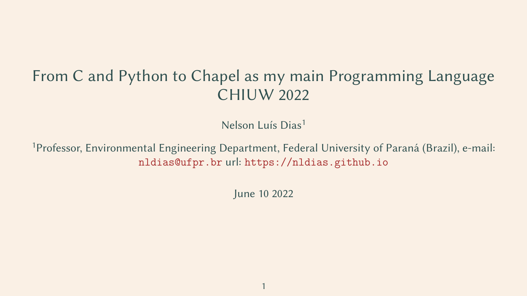# From C and Python to Chapel as my main Programming Language CHIUW 2022

Nelson Luís Dias<sup>1</sup>

<sup>1</sup>Professor, Environmental Engineering Department, Federal University of Paraná (Brazil), e-mail: <nldias@ufpr.br> url: <https://nldias.github.io>

June 10 2022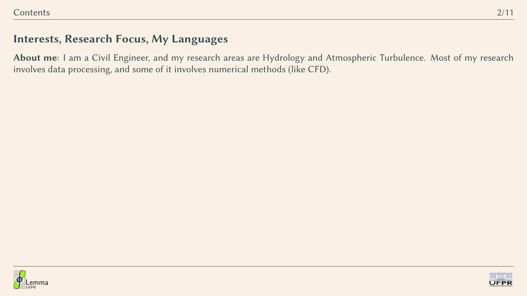About me: I am a Civil Engineer, and my research areas are Hydrology and Atmospheric Turbulence. Most of my research involves data processing, and some of it involves numerical methods (like CFD).



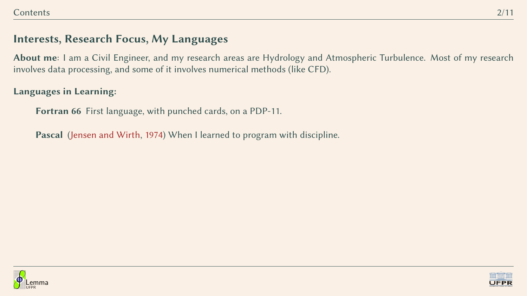About me: I am a Civil Engineer, and my research areas are Hydrology and Atmospheric Turbulence. Most of my research involves data processing, and some of it involves numerical methods (like CFD).

#### Languages in Learning:

Fortran 66 First language, with punched cards, on a PDP-11.

Pascal [\(Jensen and Wirth,](#page-14-0) [1974\)](#page-14-0) When I learned to program with discipline.



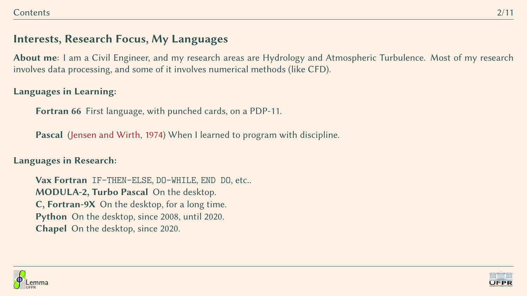About me: I am a Civil Engineer, and my research areas are Hydrology and Atmospheric Turbulence. Most of my research involves data processing, and some of it involves numerical methods (like CFD).

#### Languages in Learning:

Fortran 66 First language, with punched cards, on a PDP-11.

Pascal [\(Jensen and Wirth,](#page-14-0) [1974\)](#page-14-0) When I learned to program with discipline.

Languages in Research:

Vax Fortran IF-THEN-ELSE, DO-WHILE, END DO, etc.. MODULA-2, Turbo Pascal On the desktop. C, Fortran-9X On the desktop, for a long time. Python On the desktop, since 2008, until 2020. Chapel On the desktop, since 2020.



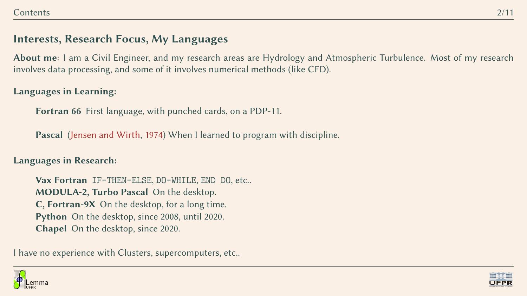About me: I am a Civil Engineer, and my research areas are Hydrology and Atmospheric Turbulence. Most of my research involves data processing, and some of it involves numerical methods (like CFD).

#### Languages in Learning:

Fortran 66 First language, with punched cards, on a PDP-11.

Pascal [\(Jensen and Wirth,](#page-14-0) [1974\)](#page-14-0) When I learned to program with discipline.

Languages in Research:

Vax Fortran IF-THEN-ELSE, DO-WHILE, END DO, etc.. MODULA-2, Turbo Pascal On the desktop. C, Fortran-9X On the desktop, for a long time. Python On the desktop, since 2008, until 2020. Chapel On the desktop, since 2020.

I have no experience with Clusters, supercomputers, etc..



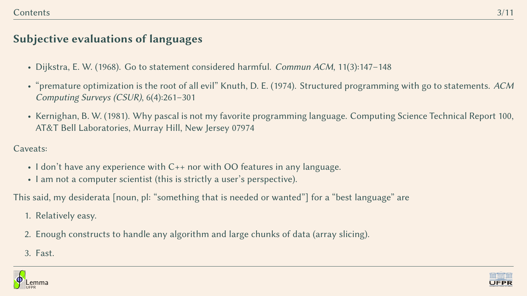#### Subjective evaluations of languages

- Dijkstra, E. W. (1968). Go to statement considered harmful. Commun ACM, 11(3):147–148
- "premature optimization is the root of all evil" Knuth, D. E. (1974). Structured programming with go to statements. ACM Computing Surveys (CSUR), 6(4):261–301
- Kernighan, B. W. (1981). Why pascal is not my favorite programming language. Computing Science Technical Report 100, AT&T Bell Laboratories, Murray Hill, New Jersey 07974

Caveats:

- I don't have any experience with C++ nor with OO features in any language.
- I am not a computer scientist (this is strictly a user's perspective).

This said, my desiderata [noun, pl: "something that is needed or wanted"] for a "best language" are

- 1. Relatively easy.
- 2. Enough constructs to handle any algorithm and large chunks of data (array slicing).
- 3. Fast.



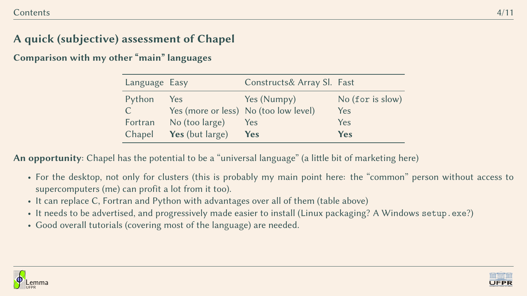# A quick (subjective) assessment of Chapel

Comparison with my other "main" languages

| Language Easy |                 | Constructs& Array Sl. Fast            |                  |
|---------------|-----------------|---------------------------------------|------------------|
| Python        | Yes             | Yes (Numpy)                           | No (for is slow) |
| $\mathsf{C}$  |                 | Yes (more or less) No (too low level) | Yes              |
| Fortran       | No (too large)  | Yes                                   | Yes              |
| Chapel        | Yes (but large) | <b>Yes</b>                            | <b>Yes</b>       |

An opportunity: Chapel has the potential to be a "universal language" (a little bit of marketing here)

- For the desktop, not only for clusters (this is probably my main point here: the "common" person without access to supercomputers (me) can profit a lot from it too).
- It can replace C, Fortran and Python with advantages over all of them (table above)
- It needs to be advertised, and progressively made easier to install (Linux packaging? A Windows setup.exe?)
- Good overall tutorials (covering most of the language) are needed.



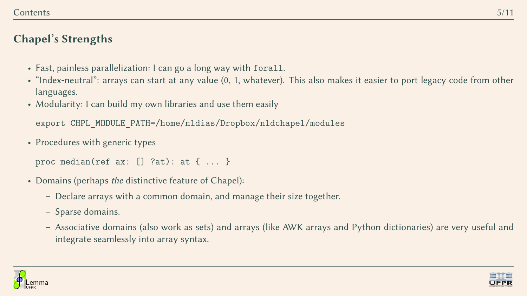# Chapel's Strengths

- Fast, painless parallelization: I can go a long way with forall.
- "Index-neutral": arrays can start at any value (0, 1, whatever). This also makes it easier to port legacy code from other languages.
- Modularity: I can build my own libraries and use them easily

export CHPL MODULE PATH=/home/nldias/Dropbox/nldchapel/modules

• Procedures with generic types

proc median(ref ax: [] ?at): at { ... }

- Domains (perhaps the distinctive feature of Chapel):
	- Declare arrays with a common domain, and manage their size together.
	- Sparse domains.
	- Associative domains (also work as sets) and arrays (like AWK arrays and Python dictionaries) are very useful and integrate seamlessly into array syntax.



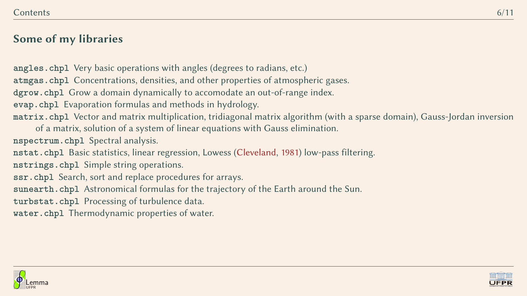## Some of my libraries

**angles.chpl** Very basic operations with angles (degrees to radians, etc.) **atmgas.chpl** Concentrations, densities, and other properties of atmospheric gases. **dgrow.chpl** Grow a domain dynamically to accomodate an out-of-range index. **evap.chpl** Evaporation formulas and methods in hydrology. **matrix.chpl** Vector and matrix multiplication, tridiagonal matrix algorithm (with a sparse domain), Gauss-Jordan inversion of a matrix, solution of a system of linear equations with Gauss elimination. **nspectrum.chpl** Spectral analysis. **nstat.chpl** Basic statistics, linear regression, Lowess [\(Cleveland,](#page-14-1) [1981\)](#page-14-1) low-pass filtering. **nstrings.chpl** Simple string operations. **ssr.chpl** Search, sort and replace procedures for arrays. **sunearth.chpl** Astronomical formulas for the trajectory of the Earth around the Sun. **turbstat.chpl** Processing of turbulence data. **water.chpl** Thermodynamic properties of water.



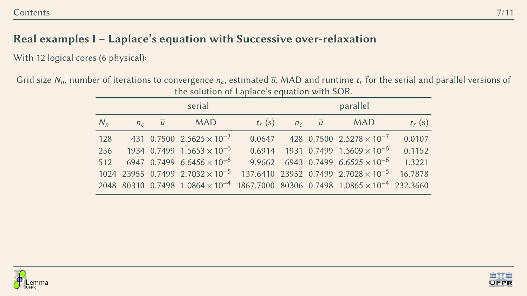# Real examples I – Laplace's equation with Successive over-relaxation

With 12 logical cores (6 physical):

Grid size  $N_n$ , number of iterations to convergence  $n_c$ , estimated  $\overline{u}$ , MAD and runtime  $t_r$  for the serial and parallel versions of the solution of Laplace's equation with SOR.

| serial<br>parallel                                                                                               |          |
|------------------------------------------------------------------------------------------------------------------|----------|
| $t_r$ (s)<br>$n_c$ $\overline{u}$<br>$N_n$<br><b>MAD</b><br><b>MAD</b><br>$n_c$ $\overline{u}$                   | $t_r(s)$ |
| 128<br>431 0.7500 2.5625 $\times$ 10 <sup>-7</sup><br>$0.0647$ 428 0.7500 2.5278 $\times$ 10 <sup>-7</sup>       | 0.0107   |
| 256 1934 0.7499 1.5653 $\times$ 10 <sup>-6</sup><br>$0.6914$ 1931 0.7499 1.5609 $\times$ 10 <sup>-6</sup>        | 0.1152   |
| 512 6947 0.7499 6.6456 $\times$ 10 <sup>-6</sup><br>9.9662 6943 0.7499 6.6525 $\times$ 10 <sup>-6</sup>          | 1.3221   |
| $1024$ 23955 0.7499 2.7032 $\times$ 10 <sup>-5</sup><br>$137.6410$ 23952 0.7499 2.7028 $\times$ 10 <sup>-5</sup> | 16.7878  |
| 2048 80310 0.7498 $1.0864 \times 10^{-4}$ 1867.7000 80306 0.7498 $1.0865 \times 10^{-4}$ 232.3660                |          |



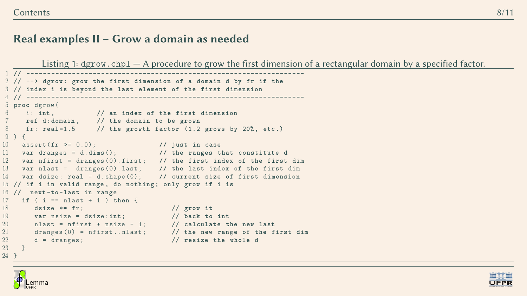#### Real examples II – Grow a domain as needed

Listing 1: dgrow.chpl - A procedure to grow the first dimension of a rectangular domain by a specified factor.

```
1 // -------------------------------------------------------------------
 2 // --> dgrow : grow the first dimension of a domain d by fr if the
 3 // index i is beyond the last element of the first dimension
     4 // -------------------------------------------------------------------
5 proc dgrow (
6 i : int , // an index of the first dimension
7 ref d :domain , // the domain to be grown
8 fr: real=1.5 // the growth factor (1.2 grows by 20%, etc.)
9 ) {
10 assert ( fr >= 0.0); // just in case
11 var dranges = d . dims (); // the ranges that constitute d
12 var nfirst = dranges (0). first ; // the first index of the first dim
13 var nlast = dranges (0). last ; // the last index of the first dim
14 var dsize : real = d . shape (0); // current size of first dimension
15 // if i in valid range , do nothing ; only grow if i is
16 // next -to - last in range
17 if ( i == nlast + 1 ) then {
18 dsize *= fr ; // grow it
19 var nsize = dsize :int; // back to int
20 nlast = nfirst + nsize - 1; // calculate the new last
21 dranges (0) = nfirst .. nlast ; // the new range of the first dim
22 d = dranges ; // resize the whole d
23 }
```


}

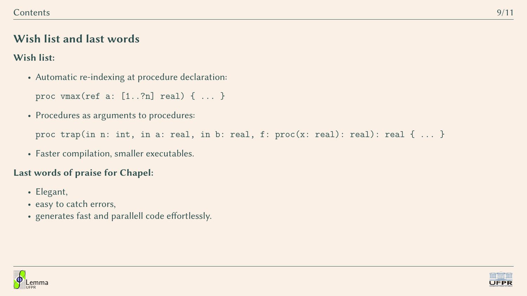## Wish list and last words

#### Wish list:

• Automatic re-indexing at procedure declaration:

```
proc vmax(ref a: [1..?n] real) { ... }
```
• Procedures as arguments to procedures:

```
proc trap(in n: int, in a: real, in b: real, f: proc(x: real): real): real { ... }
```
• Faster compilation, smaller executables.

## Last words of praise for Chapel:

- Elegant,
- easy to catch errors,
- generates fast and parallell code effortlessly.



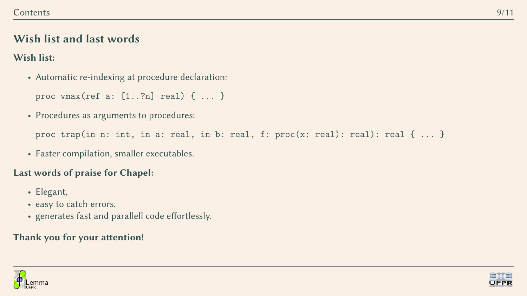## Wish list and last words

#### Wish list:

• Automatic re-indexing at procedure declaration:

```
proc vmax(ref a: [1..?n] real) { ... }
```
• Procedures as arguments to procedures:

```
proc trap(in n: int, in a: real, in b: real, f: proc(x: real): real): real { ... }
```
• Faster compilation, smaller executables.

#### Last words of praise for Chapel:

- Elegant,
- easy to catch errors,
- generates fast and parallell code effortlessly.

#### Thank you for your attention!



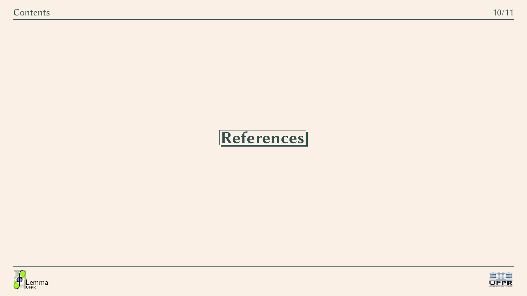# References